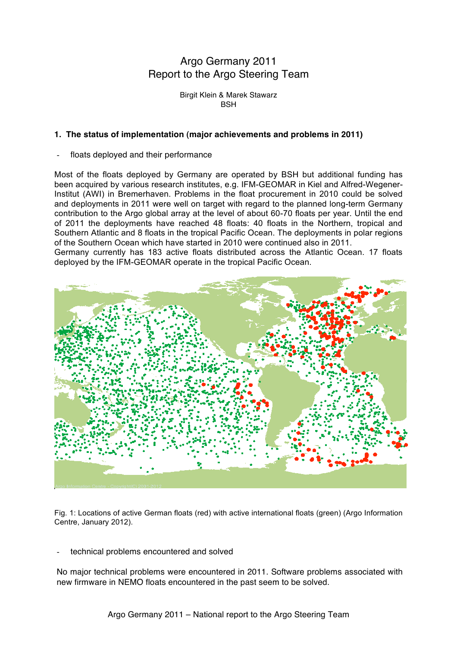# Argo Germany 2011 Report to the Argo Steering Team

Birgit Klein & Marek Stawarz **BSH** 

#### **1. The status of implementation (major achievements and problems in 2011)**

floats deployed and their performance

Most of the floats deployed by Germany are operated by BSH but additional funding has been acquired by various research institutes, e.g. IFM-GEOMAR in Kiel and Alfred-Wegener-Institut (AWI) in Bremerhaven. Problems in the float procurement in 2010 could be solved and deployments in 2011 were well on target with regard to the planned long-term Germany contribution to the Argo global array at the level of about 60-70 floats per year. Until the end of 2011 the deployments have reached 48 floats: 40 floats in the Northern, tropical and Southern Atlantic and 8 floats in the tropical Pacific Ocean. The deployments in polar regions of the Southern Ocean which have started in 2010 were continued also in 2011.

Germany currently has 183 active floats distributed across the Atlantic Ocean. 17 floats deployed by the IFM-GEOMAR operate in the tropical Pacific Ocean.



Fig. 1: Locations of active German floats (red) with active international floats (green) (Argo Information Centre, January 2012).

technical problems encountered and solved

No major technical problems were encountered in 2011. Software problems associated with new firmware in NEMO floats encountered in the past seem to be solved.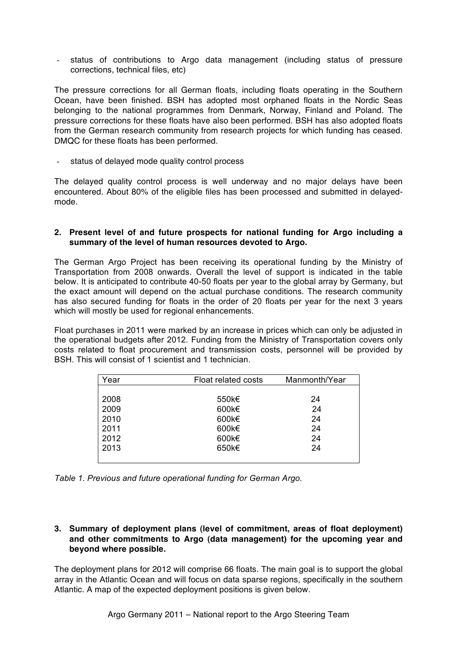- status of contributions to Argo data management (including status of pressure corrections, technical files, etc)

The pressure corrections for all German floats, including floats operating in the Southern Ocean, have been finished. BSH has adopted most orphaned floats in the Nordic Seas belonging to the national programmes from Denmark, Norway, Finland and Poland. The pressure corrections for these floats have also been performed. BSH has also adopted floats from the German research community from research projects for which funding has ceased. DMQC for these floats has been performed.

status of delayed mode quality control process

The delayed quality control process is well underway and no major delays have been encountered. About 80% of the eligible files has been processed and submitted in delayedmode.

#### **2. Present level of and future prospects for national funding for Argo including a summary of the level of human resources devoted to Argo.**

The German Argo Project has been receiving its operational funding by the Ministry of Transportation from 2008 onwards. Overall the level of support is indicated in the table below. It is anticipated to contribute 40-50 floats per year to the global array by Germany, but the exact amount will depend on the actual purchase conditions. The research community has also secured funding for floats in the order of 20 floats per year for the next 3 years which will mostly be used for regional enhancements.

Float purchases in 2011 were marked by an increase in prices which can only be adjusted in the operational budgets after 2012. Funding from the Ministry of Transportation covers only costs related to float procurement and transmission costs, personnel will be provided by BSH. This will consist of 1 scientist and 1 technician.

| Year | <b>Float related costs</b> | Manmonth/Year |
|------|----------------------------|---------------|
|      |                            |               |
| 2008 | 550k€                      | 24            |
| 2009 | 600k€                      | 24            |
| 2010 | 600 $k\in$                 | 24            |
| 2011 | 600 $k\in$                 | 24            |
| 2012 | 600 $k\in$                 | 24            |
| 2013 | 650k€                      | 24            |
|      |                            |               |

*Table 1. Previous and future operational funding for German Argo.*

## **3. Summary of deployment plans (level of commitment, areas of float deployment) and other commitments to Argo (data management) for the upcoming year and beyond where possible.**

The deployment plans for 2012 will comprise 66 floats. The main goal is to support the global array in the Atlantic Ocean and will focus on data sparse regions, specifically in the southern Atlantic. A map of the expected deployment positions is given below.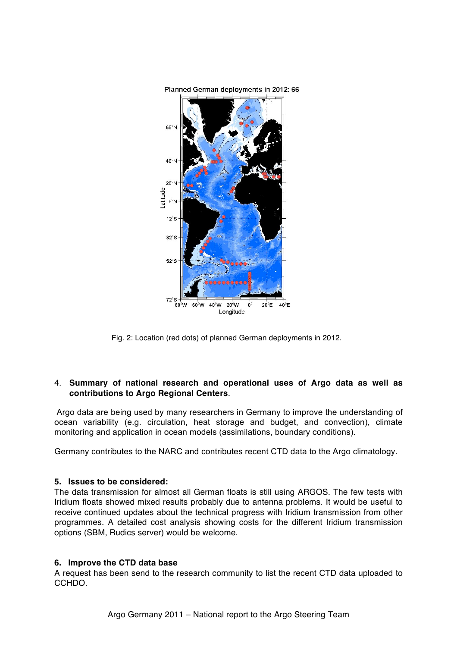

Fig. 2: Location (red dots) of planned German deployments in 2012.

## 4. **Summary of national research and operational uses of Argo data as well as contributions to Argo Regional Centers**.

 Argo data are being used by many researchers in Germany to improve the understanding of ocean variability (e.g. circulation, heat storage and budget, and convection), climate monitoring and application in ocean models (assimilations, boundary conditions).

Germany contributes to the NARC and contributes recent CTD data to the Argo climatology.

#### **5. Issues to be considered:**

The data transmission for almost all German floats is still using ARGOS. The few tests with Iridium floats showed mixed results probably due to antenna problems. It would be useful to receive continued updates about the technical progress with Iridium transmission from other programmes. A detailed cost analysis showing costs for the different Iridium transmission options (SBM, Rudics server) would be welcome.

#### **6. Improve the CTD data base**

A request has been send to the research community to list the recent CTD data uploaded to CCHDO.